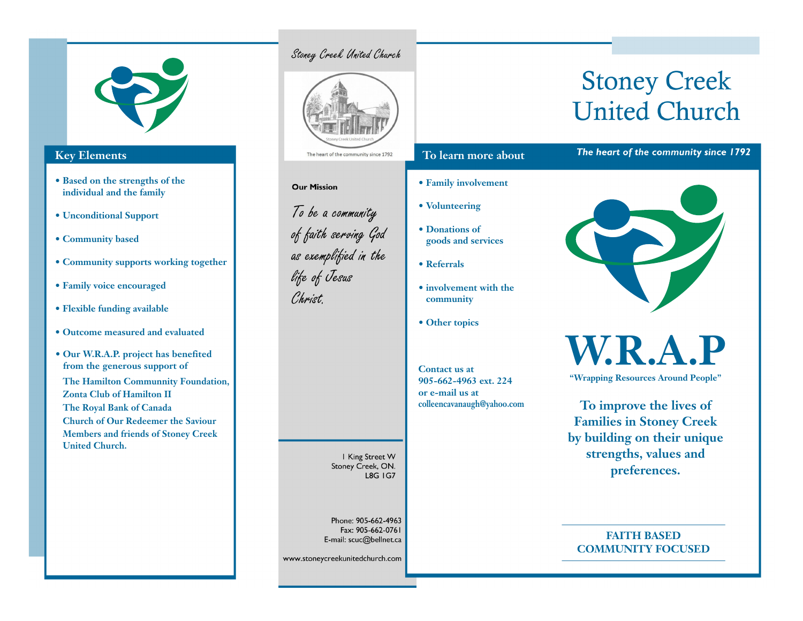

#### **Key Elements**

- **Based on the strengths of the individual and the family**
- **Unconditional Support**
- **Community based**
- **Community supports working together**
- **Family voice encouraged**
- **Flexible funding available**
- **Outcome measured and evaluated**
- Our W.R.A.P. project has benefited **from the generous support of**
- **The Hamilton Communnity Foundation, Zonta Clu b o f Hami l ton I I The Royal Ban k o f Cana d a Church of Our Redeemer the Saviour** Members and friends of Stoney Creek United Church.

## Stoney Creek United Church



#### **Our Mission**

To be a community of faith serving God as exemplified in the life of Jesus Christ

> I King Street W Stoney Creek, ON. **L8G IG7**

Phone: 905-662-4963 Fax: 905-662-0761 E-mail: scuc@bellnet.ca

www.stoneycreekunitedchurch.com

## **Stoney Creek United Church**

The heart of the community since 1792

## **To learn more about**

## **• Family involvement**

- **Volunteering**
- **Donations of goods and services**
- **Referrals**
- **involvement with the community**
- **Other topics**

**Contact us at 905-662-4963 ext. 224 or e-mail us at colleencavanaugh@yahoo.com**



**W. R . A.P**

**"Wrapping Resources Around People"**

**To improve the lives of Families in Stoney Creek by building on their unique strengths, values and preferences.**

#### **FAITH BASED COMMUNITY FOCUSED**